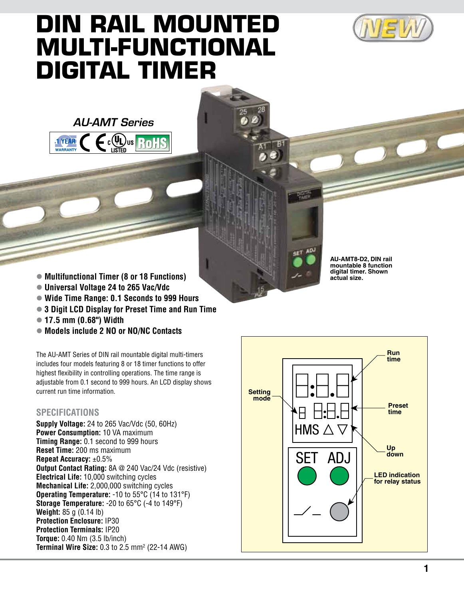

## **DIN Rail Mounted Multi-Functional Digital Timer**





- Multifunctional Timer (8 or 18 Functions)
- l **Universal Voltage 24 to 265 Vac/Vdc**
- l **Wide Time Range: 0.1 Seconds to 999 Hours**
- **3 Digit LCD Display for Preset Time and Run Time**
- l **17.5 mm (0.68") Width**
- l **Models include 2 NO or NO/NC Contacts**

The AU-AMT Series of DIN rail mountable digital multi-timers includes four models featuring 8 or 18 timer functions to offer highest flexibility in controlling operations. The time range is adjustable from 0.1 second to 999 hours. An LCD display shows current run time information.

## **Specifications**

**Supply Voltage:** 24 to 265 Vac/Vdc (50, 60Hz) **Power Consumption:** 10 VA maximum **Timing Range:** 0.1 second to 999 hours **Reset Time:** 200 ms maximum **Repeat Accuracy:** ±0.5% **Output Contact Rating:** 8A @ 240 Vac/24 Vdc (resistive) **Electrical Life:** 10,000 switching cycles **Mechanical Life:** 2,000,000 switching cycles **Operating Temperature:** -10 to 55°C (14 to 131°F) **Storage Temperature:** -20 to 65°C (-4 to 149°F) **Weight:** 85 g (0.14 lb) **Protection Enclosure:** IP30 **Protection Terminals:** IP20 **Torque:** 0.40 Nm (3.5 lb/inch) **Terminal Wire Size:** 0.3 to 2.5 mm<sup>2</sup> (22-14 AWG)